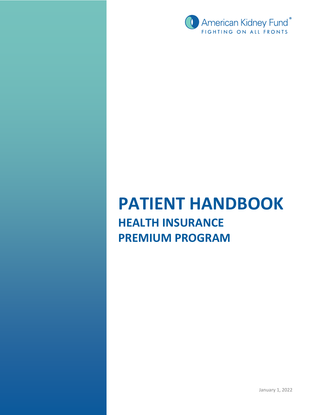

# **PATIENT HANDBOOK HEALTH INSURANCE PREMIUM PROGRAM**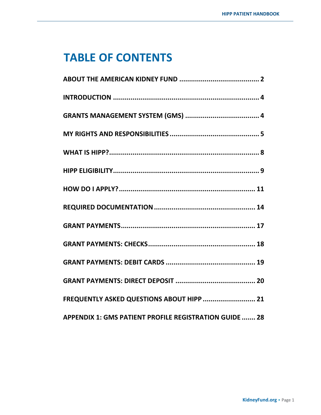## **TABLE OF CONTENTS**

| FREQUENTLY ASKED QUESTIONS ABOUT HIPP  21                     |
|---------------------------------------------------------------|
| <b>APPENDIX 1: GMS PATIENT PROFILE REGISTRATION GUIDE  28</b> |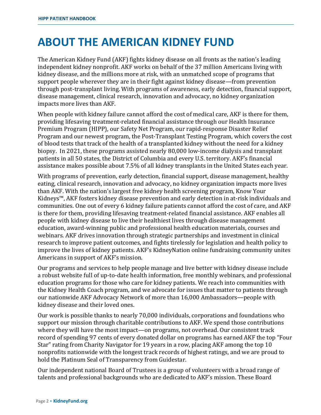## **ABOUT THE AMERICAN KIDNEY FUND**

The American Kidney Fund (AKF) fights kidney disease on all fronts as the nation's leading independent kidney nonprofit. AKF works on behalf of the 37 million Americans living with kidney disease, and the millions more at risk, with an unmatched scope of programs that support people wherever they are in their fight against kidney disease—from prevention through post-transplant living. With programs of awareness, early detection, financial support, disease management, clinical research, innovation and advocacy, no kidney organization impacts more lives than AKF.

When people with kidney failure cannot afford the cost of medical care, AKF is there for them, providing lifesaving treatment-related financial assistance through our Health Insurance Premium Program (HIPP), our Safety Net Program, our rapid-response Disaster Relief Program and our newest program, the Post-Transplant Testing Program, which covers the cost of blood tests that track of the health of a transplanted kidney without the need for a kidney biopsy. In 2021, these programs assisted nearly 80,000 low-income dialysis and transplant patients in all 50 states, the District of Columbia and every U.S. territory. AKF's financial assistance makes possible about 7.5% of all kidney transplants in the United States each year.

With programs of prevention, early detection, financial support, disease management, healthy eating, clinical research, innovation and advocacy, no kidney organization impacts more lives than AKF. With the nation's largest free kidney health screening program, Know Your Kidneys™, AKF fosters kidney disease prevention and early detection in at-risk individuals and communities. One out of every 6 kidney failure patients cannot afford the cost of care, and AKF is there for them, providing lifesaving treatment-related financial assistance. AKF enables all people with kidney disease to live their healthiest lives through disease management education, award-winning public and professional health education materials, courses and webinars. AKF drives innovation through strategic partnerships and investment in clinical research to improve patient outcomes, and fights tirelessly for legislation and health policy to improve the lives of kidney patients. AKF's KidneyNation online fundraising community unites Americans in support of AKF's mission.

Our programs and services to help people manage and live better with kidney disease include a robust website full of up-to-date health information, free monthly webinars, and professional education programs for those who care for kidney patients. We reach into communities with the Kidney Health Coach program, and we advocate for issues that matter to patients through our nationwide AKF Advocacy Network of more than 16,000 Ambassadors—people with kidney disease and their loved ones.

Our work is possible thanks to nearly 70,000 individuals, corporations and foundations who support our mission through charitable contributions to AKF. We spend those contributions where they will have the most impact—on programs, not overhead. Our consistent track record of spending 97 cents of every donated dollar on programs has earned AKF the top "Four Star" rating from Charity Navigator for 19 years in a row, placing AKF among the top 10 nonprofits nationwide with the longest track records of highest ratings, and we are proud to hold the Platinum Seal of Transparency from Guidestar.

Our independent national Board of Trustees is a group of volunteers with a broad range of talents and professional backgrounds who are dedicated to AKF's mission. These Board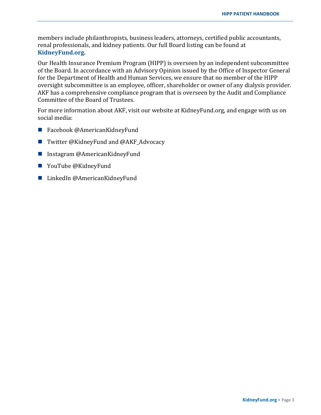members include philanthropists, business leaders, attorneys, certified public accountants, renal professionals, and kidney patients. Our full Board listing can be found at **[KidneyFund.org.](http://www.kidneyfund.org/about-us/#about_governance)**

Our Health Insurance Premium Program (HIPP) is overseen by an independent subcommittee of the Board. In accordance with an Advisory Opinion issued by the Office of Inspector General for the Department of Health and Human Services, we ensure that no member of the HIPP oversight subcommittee is an employee, officer, shareholder or owner of any dialysis provider. AKF has a comprehensive compliance program that is overseen by the Audit and Compliance Committee of the Board of Trustees.

For more information about AKF, visit our website at [KidneyFund.org,](http://www.kidneyfund.org/) and engage with us on social media:

- Facebook @AmericanKidneyFund
- Twitter @KidneyFund and @AKF Advocacy
- Instagram @AmericanKidneyFund
- YouTube @KidneyFund
- LinkedIn @AmericanKidneyFund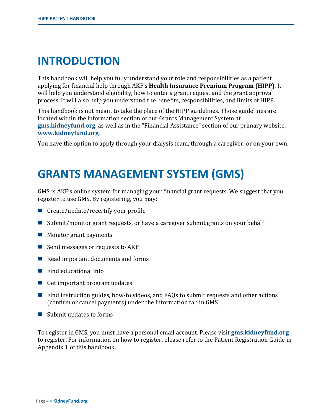## **INTRODUCTION**

This handbook will help you fully understand your role and responsibilities as a patient applying for financial help through AKF's **Health Insurance Premium Program (HIPP)**. It will help you understand eligibility, how to enter a grant request and the grant approval process. It will also help you understand the benefits, responsibilities, and limits of HIPP.

This handbook is not meant to take the place of the HIPP guidelines. Those guidelines are located within the information section of our Grants Management System at **[gms.kidneyfund.org](http://www.gms.kidneyfund.org/)**, as well as in the "Financial Assistance" section of our primary website, **[www.kidneyfund.org](http://www.kidneyfund.org/)**.

You have the option to apply through your dialysis team, through a caregiver, or on your own.

## **GRANTS MANAGEMENT SYSTEM (GMS)**

GMS is AKF's online system for managing your financial grant requests. We suggest that you register to use GMS. By registering, you may:

- $\blacksquare$  Create/update/recertify your profile
- Submit/monitor grant requests, or have a caregiver submit grants on your behalf
- $\blacksquare$  Monitor grant payments
- Send messages or requests to  $AKF$
- $\blacksquare$  Read important documents and forms
- $\blacksquare$  Find educational info
- Get important program updates
- $\blacksquare$  Find instruction guides, how-to videos, and FAQs to submit requests and other actions (confirm or cancel payments) under the Information tab in GMS
- $\blacksquare$  Submit updates to forms

To register in GMS, you must have a personal email account. Please visit **[gms.kidneyfund.org](https://gms.kidneyfund.org/login)** to register. For information on how to register, please refer to the Patient Registration Guide in Appendix 1 of this handbook.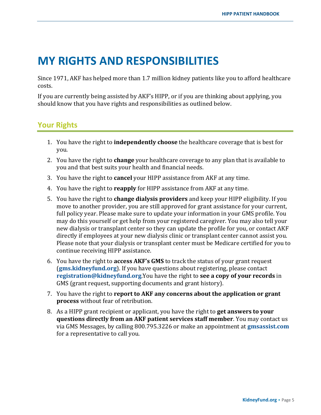## **MY RIGHTS AND RESPONSIBILITIES**

Since 1971, AKF has helped more than 1.7 million kidney patients like you to afford healthcare costs.

If you are currently being assisted by AKF's HIPP, or if you are thinking about applying, you should know that you have rights and responsibilities as outlined below.

## **Your Rights**

- 1. You have the right to **independently choose** the healthcare coverage that is best for you.
- 2. You have the right to **change** your healthcare coverage to any plan that is available to you and that best suits your health and financial needs.
- 3. You have the right to **cancel** your HIPP assistance from AKF at any time.
- 4. You have the right to **reapply** for HIPP assistance from AKF at any time.
- 5. You have the right to **change dialysis providers** and keep your HIPP eligibility. If you move to another provider, you are still approved for grant assistance for your current, full policy year. Please make sure to update your information in your GMS profile. You may do this yourself or get help from your registered caregiver. You may also tell your new dialysis or transplant center so they can update the profile for you, or contact AKF directly if employees at your new dialysis clinic or transplant center cannot assist you. Please note that your dialysis or transplant center must be Medicare certified for you to continue receiving HIPP assistance.
- 6. You have the right to **access AKF's GMS** to track the status of your grant requ[est](mailto:registration@kidneyfund.org)  (**[gms.kidneyfund.org](https://gms.kidneyfund.org/)**). If you have questions about registering, please contact **[registration@kidneyfund.org](mailto:registration@kidneyfund.org)**.You have the right to **see a copy of your records** in GMS (grant request, supporting documents and grant history).
- 7. You have the right to **report to AKF any concerns about the application or grant process** without fear of retribution.
- 8. As a HIPP grant recipient or applicant, you have the right to **get answers to your questions directly from an AKF patient services staff member**. You may contact us via GMS Messages, by calling 800.795.3226 or make an appointment at **[gmsassist.com](http://gmsassist.com/)** for a representative to call you.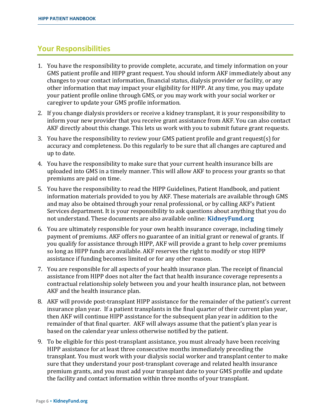### **Your Responsibilities**

- 1. You have the responsibility to provide complete, accurate, and timely information on your GMS patient profile and HIPP grant request. You should inform AKF immediately about any changes to your contact information, financial status, dialysis provider or facility, or any other information that may impact your eligibility for HIPP. At any time, you may update your patient profile online through GMS, or you may work with your social worker or caregiver to update your GMS profile information.
- 2. If you change dialysis providers or receive a kidney transplant, it is your responsibility to inform your new provider that you receive grant assistance from AKF. You can also contact AKF directly about this change. This lets us work with you to submit future grant requests.
- 3. You have the responsibility to review your GMS patient profile and grant request(s) for accuracy and completeness. Do this regularly to be sure that all changes are captured and up to date.
- 4. You have the responsibility to make sure that your current health insurance bills are uploaded into GMS in a timely manner. This will allow AKF to process your grants so that premiums are paid on time.
- 5. You have the responsibility to read the HIPP Guidelines, Patient Handbook, and patient information materials provided to you by AKF. These materials are available through GMS and may also be obtained through your renal professional, or by calling AKF's Patient Services department. It is your responsibility to ask questions about anything that you do not understand. These documents are also available online: **[KidneyFund.org](http://www.kidneyfund.org/financial-assistance/information-for-patients/health-insurance-premium-program/)**
- 6. You are ultimately responsible for your own health insurance coverage, including timely payment of premiums. AKF offers no guarantee of an initial grant or renewal of grants. If you qualify for assistance through HIPP, AKF will provide a grant to help cover premiums so long as HIPP funds are available. AKF reserves the right to modify or stop HIPP assistance if funding becomes limited or for any other reason.
- 7. You are responsible for all aspects of your health insurance plan. The receipt of financial assistance from HIPP does not alter the fact that health insurance coverage represents a contractual relationship solely between you and your health insurance plan, not between AKF and the health insurance plan.
- 8. AKF will provide post-transplant HIPP assistance for the remainder of the patient's current insurance plan year. If a patient transplants in the final quarter of their current plan year, then AKF will continue HIPP assistance for the subsequent plan year in addition to the remainder of that final quarter. AKF will always assume that the patient's plan year is based on the calendar year unless otherwise notified by the patient.
- 9. To be eligible for this post-transplant assistance, you must already have been receiving HIPP assistance for at least three consecutive months immediately preceding the transplant. You must work with your dialysis social worker and transplant center to make sure that they understand your post-transplant coverage and related health insurance premium grants, and you must add your transplant date to your GMS profile and update the facility and contact information within three months of your transplant.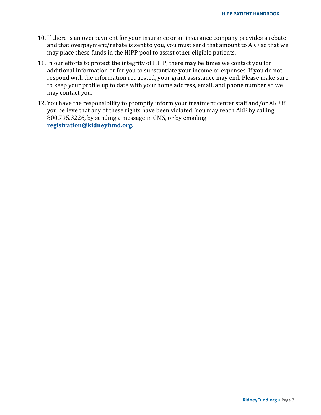- 10. If there is an overpayment for your insurance or an insurance company provides a rebate and that overpayment/rebate is sent to you, you must send that amount to AKF so that we may place these funds in the HIPP pool to assist other eligible patients.
- 11. In our efforts to protect the integrity of HIPP, there may be times we contact you for additional information or for you to substantiate your income or expenses. If you do not respond with the information requested, your grant assistance may end. Please make sure to keep your profile up to date with your home address, email, and phone number so we may contact you.
- 12. You have the responsibility to promptly inform your treatment center staff and/or AKF if you believe that any of these rights have been violated. You may reach AKF by calling 800.795.3226, by sending a message in GMS, or by emailing **[registration@kidneyfund.org.](mailto:registration@kidneyfund.org)**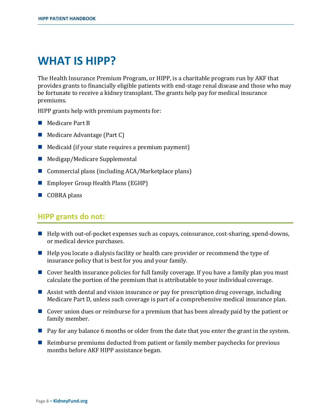## **WHAT IS HIPP?**

The Health Insurance Premium Program, or HIPP, is a charitable program run by AKF that provides grants to financially eligible patients with end-stage renal disease and those who may be fortunate to receive a kidney transplant. The grants help pay for medical insurance premiums.

HIPP grants help with premium payments for:

- **Medicare Part B**
- Medicare Advantage (Part C)
- $\blacksquare$  Medicaid (if your state requires a premium payment)
- $\blacksquare$  Medigap/Medicare Supplemental
- Commercial plans (including  $ACA/Marketplace plans)$ )
- Employer Group Health Plans (EGHP)
- COBRA plans

#### **HIPP grants do not:**

- Help with out-of-pocket expenses such as copays, coinsurance, cost-sharing, spend-downs, or medical device purchases.
- $\blacksquare$  Help you locate a dialysis facility or health care provider or recommend the type of insurance policy that is best for you and your family.
- Cover health insurance policies for full family coverage. If you have a family plan you must calculate the portion of the premium that is attributable to your individual coverage.
- Assist with dental and vision insurance or pay for prescription drug coverage, including Medicare Part D, unless such coverage is part of a comprehensive medical insurance plan.
- Cover union dues or reimburse for a premium that has been already paid by the patient or family member.
- **Pay for any balance 6 months or older from the date that you enter the grant in the system.**
- $\blacksquare$  Reimburse premiums deducted from patient or family member paychecks for previous months before AKF HIPP assistance began.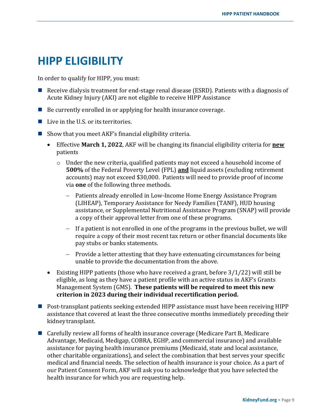## **HIPP ELIGIBILITY**

In order to qualify for HIPP, you must:

- Receive dialysis treatment for end-stage renal disease (ESRD). Patients with a diagnosis of Acute Kidney Injury (AKI) are not eligible to receive HIPP Assistance
- $\blacksquare$  Be currently enrolled in or applying for health insurance coverage.
- $\blacksquare$  Live in the U.S. or its territories.
- Show that you meet AKF's financial eligibility criteria.
	- Effective **March 1, 2022**, AKF will be changing its financial eligibility criteria for **new** patients
		- $\circ$  Under the new criteria, qualified patients may not exceed a household income of **500%** of the Federal Poverty Level (FPL) **and** liquid assets (excluding retirement accounts) may not exceed \$30,000. Patients will need to provide proof of income via **one** of the following three methods.
			- − Patients already enrolled in Low-Income Home Energy Assistance Program (LIHEAP), Temporary Assistance for Needy Families (TANF), HUD housing assistance, or Supplemental Nutritional Assistance Program (SNAP) will provide a copy of their approval letter from one of these programs.
			- − If a patient is not enrolled in one of the programs in the previous bullet, we will require a copy of their most recent tax return or other financial documents like pay stubs or banks statements.
			- − Provide a letter attesting that they have extenuating circumstances for being unable to provide the documentation from the above.
	- Existing HIPP patients (those who have received a grant, before 3/1/22) will still be eligible, as long as they have a patient profile with an active status in AKF's Grants Management System (GMS). **These patients will be required to meet this new criterion in 2023 during their individual recertification period.**
- Post-transplant patients seeking extended HIPP assistance must have been receiving HIPP assistance that covered at least the three consecutive months immediately preceding their kidneytransplant.
- Carefully review all forms of health insurance coverage (Medicare Part B, Medicare Advantage, Medicaid, Medigap, COBRA, EGHP, and commercial insurance) and available assistance for paying health insurance premiums (Medicaid, state and local assistance, other charitable organizations), and select the combination that best serves your specific medical and financial needs. The selection of health insurance is your choice. As a part of our Patient Consent Form, AKF will ask you to acknowledge that you have selected the health insurance for which you are requesting help.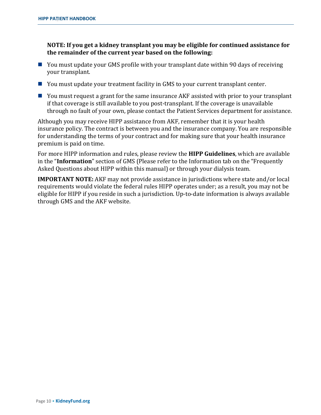**NOTE: If you get a kidney transplant you may be eligible for continued assistance for the remainder of the current year based on the following:**

- You must update your GMS profile with your transplant date within 90 days of receiving your transplant.
- You must update your treatment facility in GMS to your current transplant center.
- You must request a grant for the same insurance AKF assisted with prior to your transplant if that coverage is still available to you post-transplant. If the coverage is unavailable through no fault of your own, please contact the Patient Services department for assistance.

Although you may receive HIPP assistance from AKF, remember that it is your health insurance policy. The contract is between you and the insurance company. You are responsible for understanding the terms of your contract and for making sure that your health insurance premium is paid on time.

For more HIPP information and rules, please review the **HIPP Guidelines**, which are available in the "**Information**" section of GMS (Please refer to the Information tab on the "Frequently Asked Questions about HIPP within this manual) or through your dialysis team.

**IMPORTANT NOTE:** AKF may not provide assistance in jurisdictions where state and/or local requirements would violate the federal rules HIPP operates under; as a result, you may not be eligible for HIPP if you reside in such a jurisdiction. Up-to-date information is always available through GMS and the AKF website.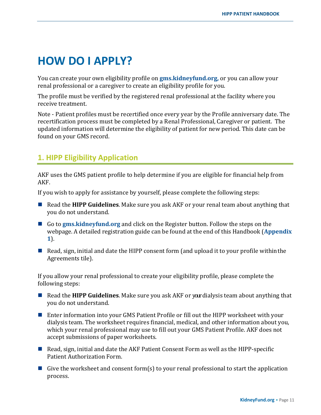## **HOW DO I APPLY?**

You can create your own eligibility profile on **[gms.kidneyfund.org,](https://gms.kidneyfund.org/login)** or you can allow your renal professional or a caregiver to create an eligibility profile for you.

The profile must be verified by the registered renal professional at the facility where you receive treatment.

Note - Patient profiles must be recertified once every year by the Profile anniversary date. The recertification process must be completed by a Renal Professional, Caregiver or patient. The updated information will determine the eligibility of patient for new period. This date can be found on your GMS record.

## **1. HIPP Eligibility Application**

AKF uses the GMS patient profile to help determine if you are eligible for financial help from AKF.

If you wish to apply for assistance by yourself, please complete the following steps:

- Read the **HIPP Guidelines**. Make sure you ask AKF or your renal team about anything that you do not understand.
- Go to **[gms.kidneyfund.org](https://gms.kidneyfund.org/login)** and click on the Register button. Follow the steps on the webpage. A detailed registration guide can be found at the end of this Handbook (**[Appendix](#page-29-0)  [1](#page-29-0)**).
- Read, sign, initial and date the HIPP consent form (and upload it to your profile within the Agreements tile).

If you allow your renal professional to create your eligibility profile, please complete the following steps:

- Read the **HIPP Guidelines**. Make sure you ask AKF or yourdialysis team about anything that you do not understand.
- Enter information into your GMS Patient Profile or fill out the HIPP worksheet with your dialysis team. The worksheet requires financial, medical, and other information about you, which your renal professional may use to fill out your GMS Patient Profile. AKF does not accept submissions of paper worksheets.
- $\blacksquare$  Read, sign, initial and date the AKF Patient Consent Form as well as the HIPP-specific Patient Authorization Form.
- Give the worksheet and consent form(s) to your renal professional to start the application process.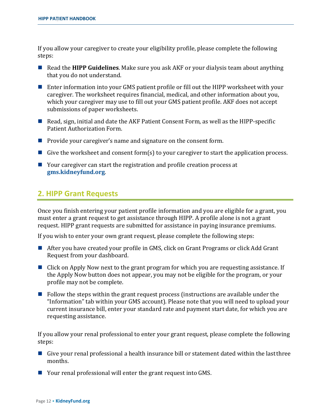If you allow your caregiver to create your eligibility profile, please complete the following steps:

- Read the **HIPP Guidelines**. Make sure you ask AKF or your dialysis team about anything that you do not understand.
- Enter information into your GMS patient profile or fill out the HIPP worksheet with your caregiver. The worksheet requires financial, medical, and other information about you, which your caregiver may use to fill out your GMS patient profile. AKF does not accept submissions of paper worksheets.
- Read, sign, initial and date the AKF Patient Consent Form, as well as the HIPP-specific Patient Authorization Form.
- **Provide your caregiver's name and signature on the consent form.**
- Give the worksheet and consent form(s) to your caregiver to start the application process.
- Your caregiver can start the registration and profile creation process at **[gms.kidneyfund.org](https://gms.kidneyfund.org/login)**.

## **2. HIPP Grant Requests**

Once you finish entering your patient profile information and you are eligible for a grant, you must enter a grant request to get assistance through HIPP. A profile alone is not a grant request. HIPP grant requests are submitted for assistance in paying insurance premiums.

If you wish to enter your own grant request, please complete the following steps:

- After you have created your profile in GMS, click on Grant Programs or click Add Grant Request from your dashboard.
- Click on Apply Now next to the grant program for which you are requesting assistance. If the Apply Now button does not appear, you may not be eligible for the program, or your profile may not be complete.
- $\blacksquare$  Follow the steps within the grant request process (instructions are available under the "Information" tab within your GMS account). Please note that you will need to upload your current insurance bill, enter your standard rate and payment start date, for which you are requesting assistance.

If you allow your renal professional to enter your grant request, please complete the following steps:

- Give your renal professional a health insurance bill or statement dated within the last three months.
- Your renal professional will enter the grant request into GMS.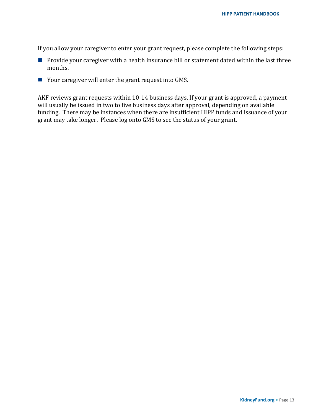If you allow your caregiver to enter your grant request, please complete the following steps:

- $\blacksquare$  Provide your caregiver with a health insurance bill or statement dated within the last three months.
- Your caregiver will enter the grant request into GMS.

AKF reviews grant requests within 10-14 business days. If your grant is approved, a payment will usually be issued in two to five business days after approval, depending on available funding. There may be instances when there are insufficient HIPP funds and issuance of your grant may take longer. Please log onto GMS to see the status of your grant.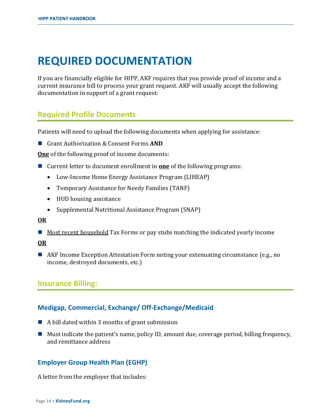## **REQUIRED DOCUMENTATION**

If you are financially eligible for HIPP, AKF requires that you provide proof of income and a current insurance bill to process your grant request. AKF will usually accept the following documentation in support of a grant request:

### **Required Profile Documents**

Patients will need to upload the following documents when applying for assistance:

■ Grant Authorization & Consent Forms **AND** 

**One** of the following proof of income documents:

- Current letter to document enrollment in **one** of the following programs:
	- Low-Income Home Energy Assistance Program (LIHEAP)
	- Temporary Assistance for Needy Families (TANF)
	- HUD housing assistance
	- Supplemental Nutritional Assistance Program (SNAP)

#### **OR**

 $\blacksquare$  Most recent household Tax Forms or pay stubs matching the indicated yearly income

#### **OR**

■ AKF Income Exception Attestation Form noting your extenuating circumstance (e.g., no income, destroyed documents, etc.)

### **Insurance Billing:**

#### **Medigap, Commercial, Exchange/ Off-Exchange/Medicaid**

- $\blacksquare$  A bill dated within 3 months of grant submission
- $\blacksquare$  Must indicate the patient's name, policy ID, amount due, coverage period, billing frequency, and remittance address

#### **Employer Group Health Plan (EGHP)**

A letter from the employer that includes: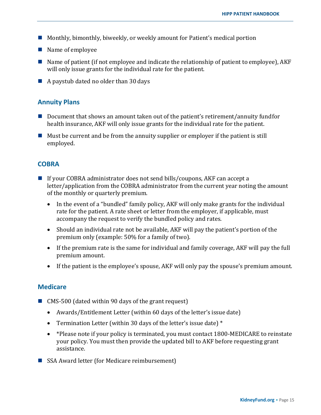- Monthly, bimonthly, biweekly, or weekly amount for Patient's medical portion
- Name of employee
- Name of patient (if not employee and indicate the relationship of patient to employee),  $AKF$ will only issue grants for the individual rate for the patient.
- $\blacksquare$  A paystub dated no older than 30 days

#### **Annuity Plans**

- Document that shows an amount taken out of the patient's retirement/annuity fundfor health insurance, AKF will only issue grants for the individual rate for the patient.
- $\blacksquare$  Must be current and be from the annuity supplier or employer if the patient is still employed.

#### **COBRA**

- If your COBRA administrator does not send bills/coupons, AKF can accept a letter/application from the COBRA administrator from the current year noting the amount of the monthly or quarterly premium.
	- In the event of a "bundled" family policy, AKF will only make grants for the individual rate for the patient. A rate sheet or letter from the employer, if applicable, must accompany the request to verify the bundled policy and rates.
	- Should an individual rate not be available, AKF will pay the patient's portion of the premium only (example: 50% for a family of two).
	- If the premium rate is the same for individual and family coverage, AKF will pay the full premium amount.
	- If the patient is the employee's spouse, AKF will only pay the spouse's premium amount.

#### **Medicare**

- CMS-500 (dated within 90 days of the grant request)
	- Awards/Entitlement Letter (within 60 days of the letter's issue date)
	- Termination Letter (within 30 days of the letter's issue date)  $*$
	- \*Please note if your policy is terminated, you must contact 1800-MEDICARE to reinstate your policy. You must then provide the updated bill to AKF before requesting grant assistance.
- SSA Award letter (for Medicare reimbursement)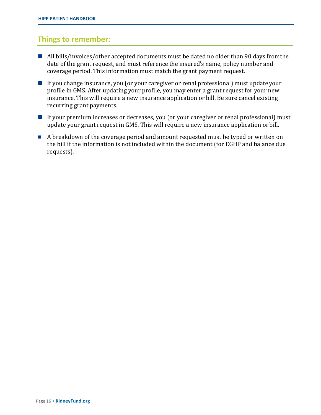### **Things to remember:**

- All bills/invoices/other accepted documents must be dated no older than 90 days from the date of the grant request, and must reference the insured's name, policy number and coverage period. This information must match the grant payment request.
- **If you change insurance, you (or your caregiver or renal professional) must update your** profile in GMS. After updating your profile, you may enter a grant request for your new insurance. This will require a new insurance application or bill. Be sure cancel existing recurring grant payments.
- If your premium increases or decreases, you (or your caregiver or renal professional) must update your grant request in GMS. This will require a new insurance application orbill.
- A breakdown of the coverage period and amount requested must be typed or written on the bill if the information is not included within the document (for EGHP and balance due requests).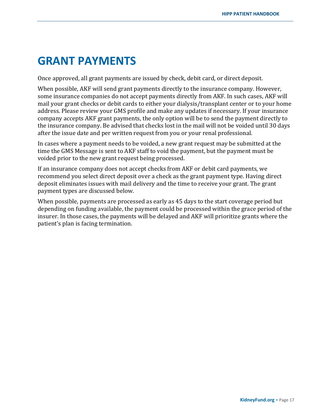## **GRANT PAYMENTS**

Once approved, all grant payments are issued by check, debit card, or direct deposit.

When possible, AKF will send grant payments directly to the insurance company. However, some insurance companies do not accept payments directly from AKF. In such cases, AKF will mail your grant checks or debit cards to either your dialysis/transplant center or to your home address. Please review your GMS profile and make any updates if necessary. If your insurance company accepts AKF grant payments, the only option will be to send the payment directly to the insurance company. Be advised that checks lost in the mail will not be voided until 30 days after the issue date and per written request from you or your renal professional.

In cases where a payment needs to be voided, a new grant request may be submitted at the time the GMS Message is sent to AKF staff to void the payment, but the payment must be voided prior to the new grant request being processed.

If an insurance company does not accept checks from AKF or debit card payments, we recommend you select direct deposit over a check as the grant payment type. Having direct deposit eliminates issues with mail delivery and the time to receive your grant. The grant payment types are discussed below.

When possible, payments are processed as early as 45 days to the start coverage period but depending on funding available, the payment could be processed within the grace period of the insurer. In those cases, the payments will be delayed and AKF will prioritize grants where the patient's plan is facing termination.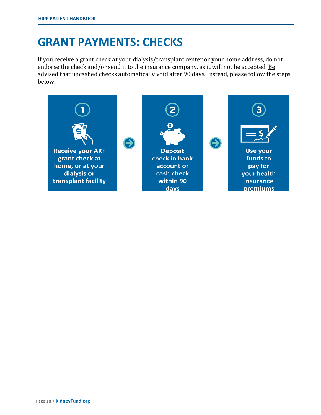## **GRANT PAYMENTS: CHECKS**

If you receive a grant check at your dialysis/transplant center or your home address, do not endorse the check and/or send it to the insurance company, as it will not be accepted. Be advised that uncashed checks automatically void after 90 days. Instead, please follow the steps below:

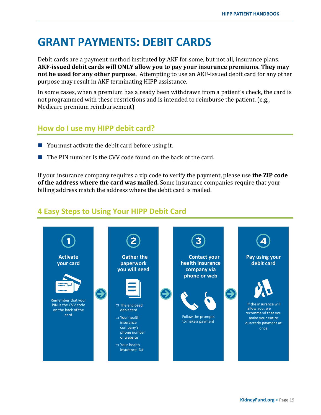## **GRANT PAYMENTS: DEBIT CARDS**

Debit cards are a payment method instituted by AKF for some, but not all, insurance plans. **AKF-issued debit cards will ONLY allow you to pay your insurance premiums. They may not be used for any other purpose.** Attempting to use an AKF-issued debit card for any other purpose may result in AKF terminating HIPP assistance.

In some cases, when a premium has already been withdrawn from a patient's check, the card is not programmed with these restrictions and is intended to reimburse the patient. (e.g., Medicare premium reimbursement)

## **How do I use my HIPP debit card?**

- You must activate the debit card before using it.
- The PIN number is the CVV code found on the back of the card.

If your insurance company requires a zip code to verify the payment, please use **the ZIP code of the address where the card was mailed.** Some insurance companies require that your billing address match the address where the debit card is mailed.

## **4 Easy Steps to Using Your HIPP Debit Card**

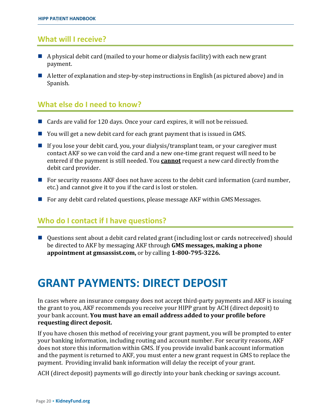### **What will I receive?**

- $\blacksquare$  A physical debit card (mailed to your home or dialysis facility) with each new grant payment.
- A letter of explanation and step-by-step instructions in English (as pictured above) and in Spanish.

### **What else do I need to know?**

- Cards are valid for 120 days. Once your card expires, it will not be reissued.
- You will get a new debit card for each grant payment that is issued in GMS.
- If you lose your debit card, you, your dialysis/transplant team, or your caregiver must contact AKF so we can void the card and a new one-time grant request will need to be entered if the payment is still needed. You **cannot** request a new card directly fromthe debit card provider.
- $\blacksquare$  For security reasons AKF does not have access to the debit card information (card number, etc.) and cannot give it to you if the card is lost or stolen.
- For any debit card related questions, please message AKF within GMS Messages.

### **Who do I contact if I have questions?**

■ Questions sent about a debit card related grant (including lost or cards not received) should be directed to AKF by messaging AKF through **GMS messages, making a phone appointment at gmsassist.com,** or by calling **1-800-795-3226.**

## **GRANT PAYMENTS: DIRECT DEPOSIT**

In cases where an insurance company does not accept third-party payments and AKF is issuing the grant to you, AKF recommends you receive your HIPP grant by ACH (direct deposit) to your bank account. **You must have an email address added to your profile before requesting direct deposit.**

If you have chosen this method of receiving your grant payment, you will be prompted to enter your banking information, including routing and account number. For security reasons, AKF does not store this information within GMS. If you provide invalid bank account information and the payment is returned to AKF, you must enter a new grant request in GMS to replace the payment. Providing invalid bank information will delay the receipt of your grant.

ACH (direct deposit) payments will go directly into your bank checking or savings account.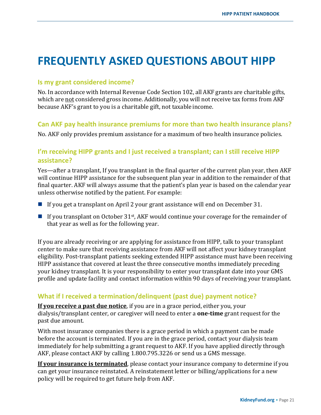## **FREQUENTLY ASKED QUESTIONS ABOUT HIPP**

#### **Is my grant considered income?**

No. In accordance with Internal Revenue Code Section 102, all AKF grants are charitable gifts, which are not considered gross income. Additionally, you will not receive tax forms from AKF because AKF's grant to you is a charitable gift, not taxable income.

#### **Can AKF pay health insurance premiums for more than two health insurance plans?**

No. AKF only provides premium assistance for a maximum of two health insurance policies.

### **I'm receiving HIPP grants and I just received a transplant; can I still receive HIPP assistance?**

Yes—after a transplant, If you transplant in the final quarter of the current plan year, then AKF will continue HIPP assistance for the subsequent plan year in addition to the remainder of that final quarter. AKF will always assume that the patient's plan year is based on the calendar year unless otherwise notified by the patient. For example:

- If you get a transplant on April 2 your grant assistance will end on December 31.
- If you transplant on October 31<sup>st</sup>, AKF would continue your coverage for the remainder of that year as well as for the following year.

If you are already receiving or are applying for assistance from HIPP, talk to your transplant center to make sure that receiving assistance from AKF will not affect your kidney transplant eligibility. Post-transplant patients seeking extended HIPP assistance must have been receiving HIPP assistance that covered at least the three consecutive months immediately preceding your kidney transplant. It is your responsibility to enter your transplant date into your GMS profile and update facility and contact information within 90 days of receiving your transplant.

### **What if I received a termination/delinquent (past due) payment notice?**

**If you receive a past due notice**, if you are in a grace period, either you, your dialysis/transplant center, or caregiver will need to enter a **one-time** grant request for the past due amount.

With most insurance companies there is a grace period in which a payment can be made before the account is terminated. If you are in the grace period, contact your dialysis team immediately for help submitting a grant request to AKF. If you have applied directly through AKF, please contact AKF by calling 1.800.795.3226 or send us a GMS message.

**If your insurance is terminated**, please contact your insurance company to determine if you can get your insurance reinstated. A reinstatement letter or billing/applications for a new policy will be required to get future help from AKF.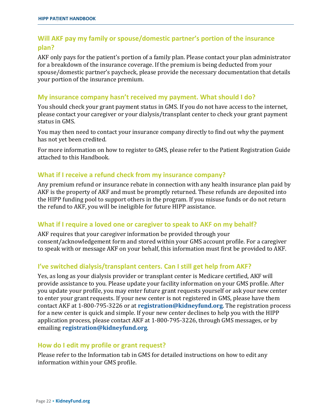### **Will AKF pay my family or spouse/domestic partner's portion of the insurance plan?**

AKF only pays for the patient's portion of a family plan. Please contact your plan administrator for a breakdown of the insurance coverage. If the premium is being deducted from your spouse/domestic partner's paycheck, please provide the necessary documentation that details your portion of the insurance premium.

#### **My insurance company hasn't received my payment. What should I do?**

You should check your grant payment status in GMS. If you do not have access to the internet, please contact your caregiver or your dialysis/transplant center to check your grant payment status in GMS.

You may then need to contact your insurance company directly to find out why the payment has not yet been credited.

For more information on how to register to GMS, please refer to the Patient Registration Guide attached to this Handbook.

#### **What if I receive a refund check from my insurance company?**

Any premium refund or insurance rebate in connection with any health insurance plan paid by AKF is the property of AKF and must be promptly returned. These refunds are deposited into the HIPP funding pool to support others in the program. If you misuse funds or do not return the refund to AKF, you will be ineligible for future HIPP assistance.

#### **What if I require a loved one or caregiver to speak to AKF on my behalf?**

AKF requires that your caregiver information be provided through your consent/acknowledgement form and stored within your GMS account profile. For a caregiver to speak with or message AKF on your behalf, this information must first be provided to AKF.

#### **I've switched dialysis/transplant centers. Can I still get help from AKF?**

Yes, as long as your dialysis provider or transplant center is Medicare certified, AKF will provide assistance to you. Please update your facility information on your GMS profile. After you update your profile, you may enter future grant requests yourself or ask your new center to enter your grant requests. If your new center is not registered in GMS, please have them contact AKF at 1-800-795-3226 or at **[registration@kidneyfund.org](mailto:registration@kidneyfund.org)**. The registration process for a new center is quick and simple. If your new center declines to help you with the HIPP application process, please contact AKF at 1-800-795-3226, through GMS messages, or by emailing **[registration@kidneyfund.org](mailto:registration@kidneyfund.org)**.

#### **How do I edit my profile or grant request?**

Please refer to the Information tab in GMS for detailed instructions on how to edit any information within your GMS profile.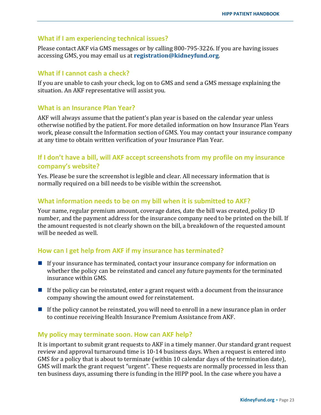#### **What if I am experiencing technical issues?**

Please contact AKF via GMS messages or by calling 800-795-3226. If you are having issues accessing GMS, you may email us at **[registration@kidneyfund.org](mailto:registration@kidneyfund.org)**.

#### **What if I cannot cash a check?**

If you are unable to cash your check, log on to GMS and send a GMS message explaining the situation. An AKF representative will assist you.

#### **What is an Insurance Plan Year?**

AKF will always assume that the patient's plan year is based on the calendar year unless otherwise notified by the patient. For more detailed information on how Insurance Plan Years work, please consult the Information section of GMS. You may contact your insurance company at any time to obtain written verification of your Insurance Plan Year.

### **If I don't have a bill, will AKF accept screenshots from my profile on my insurance company's website?**

Yes. Please be sure the screenshot is legible and clear. All necessary information that is normally required on a bill needs to be visible within the screenshot.

#### **What information needs to be on my bill when it is submitted to AKF?**

Your name, regular premium amount, coverage dates, date the bill was created, policy ID number, and the payment address for the insurance company need to be printed on the bill. If the amount requested is not clearly shown on the bill, a breakdown of the requested amount will be needed as well.

#### **How can I get help from AKF if my insurance has terminated?**

- If your insurance has terminated, contact your insurance company for information on whether the policy can be reinstated and cancel any future payments for the terminated insurance within GMS.
- If the policy can be reinstated, enter a grant request with a document from the insurance company showing the amount owed for reinstatement.
- If the policy cannot be reinstated, you will need to enroll in a new insurance plan in order to continue receiving Health Insurance Premium Assistance from AKF.

#### **My policy may terminate soon. How can AKF help?**

It is important to submit grant requests to AKF in a timely manner. Our standard grant request review and approval turnaround time is 10-14 business days. When a request is entered into GMS for a policy that is about to terminate (within 10 calendar days of the termination date), GMS will mark the grant request "urgent". These requests are normally processed in less than ten business days, assuming there is funding in the HIPP pool. In the case where you have a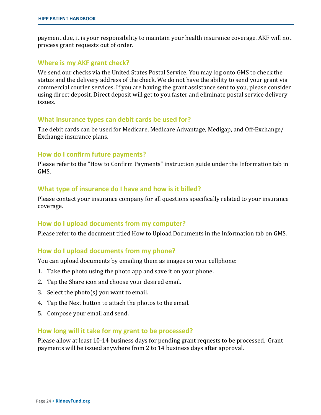payment due, it is your responsibility to maintain your health insurance coverage. AKF will not process grant requests out of order.

#### **Where is my AKF grant check?**

We send our checks via the United States Postal Service. You may log onto GMS to check the status and the delivery address of the check. We do not have the ability to send your grant via commercial courier services. If you are having the grant assistance sent to you, please consider using direct deposit. Direct deposit will get to you faster and eliminate postal service delivery issues.

#### **What insurance types can debit cards be used for?**

The debit cards can be used for Medicare, Medicare Advantage, Medigap, and Off-Exchange/ Exchange insurance plans.

#### **How do I confirm future payments?**

Please refer to the "How to Confirm Payments" instruction guide under the Information tab in GMS.

#### **What type of insurance do I have and how is it billed?**

Please contact your insurance company for all questions specifically related to your insurance coverage.

#### **How do I upload documents from my computer?**

Please refer to the document titled How to Upload Documents in the Information tab on GMS.

#### **How do I upload documents from my phone?**

You can upload documents by emailing them as images on your cellphone:

- 1. Take the photo using the photo app and save it on your phone.
- 2. Tap the Share icon and choose your desired email.
- 3. Select the photo(s) you want to email.
- 4. Tap the Next button to attach the photos to the email.
- 5. Compose your email and send.

#### **How long will it take for my grant to be processed?**

Please allow at least 10-14 business days for pending grant requests to be processed. Grant payments will be issued anywhere from 2 to 14 business days after approval.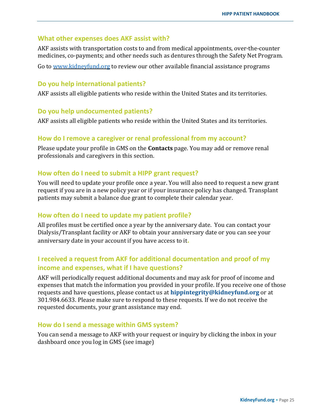#### **What other expenses does AKF assist with?**

AKF assists with transportation costs to and from medical appointments, over-the-counter medicines, co-payments; and other needs such as dentures through the Safety Net Program.

Go to [www.kidneyfund.org](http://www.kidneyfund.org/) to review our other available financial assistance programs

#### **Do you help international patients?**

AKF assists all eligible patients who reside within the United States and its territories.

#### **Do you help undocumented patients?**

AKF assists all eligible patients who reside within the United States and its territories.

#### **How do I remove a caregiver or renal professional from my account?**

Please update your profile in GMS on the **Contacts** page. You may add or remove renal professionals and caregivers in this section.

#### **How often do I need to submit a HIPP grant request?**

You will need to update your profile once a year. You will also need to request a new grant request if you are in a new policy year or if your insurance policy has changed. Transplant patients may submit a balance due grant to complete their calendar year.

#### **How often do I need to update my patient profile?**

All profiles must be certified once a year by the anniversary date. You can contact your Dialysis/Transplant facility or AKF to obtain your anniversary date or you can see your anniversary date in your account if you have access to it**.**

### **I received a request from AKF for additional documentation and proof of my income and expenses, what if I have questions?**

AKF will periodically request additional documents and may ask for proof of income and expenses that match the information you provided in your profile. If you receive one of those requests and have questions, please contact us at **[hippintegrity@kidneyfund.org](mailto:hippintegrity@kidneyfund.org)** or at 301.984.6633. Please make sure to respond to these requests. If we do not receive the requested documents, your grant assistance may end.

#### **How do I send a message within GMS system?**

You can send a message to AKF with your request or inquiry by clicking the inbox in your dashboard once you log in GMS (see image)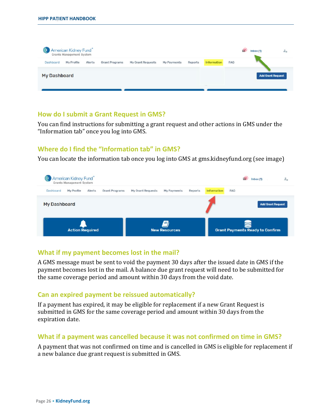|                     | American Kidney Fund<br>Grants Management System |        |                       |                   |             |         |             |                 | ч.<br>Inbox (1)          | $z_{\alpha}$ |
|---------------------|--------------------------------------------------|--------|-----------------------|-------------------|-------------|---------|-------------|-----------------|--------------------------|--------------|
| Dashboard           | My Profile                                       | Alerts | <b>Grant Programs</b> | My Grant Requests | My Payments | Reports | Information | FA <sub>Q</sub> |                          |              |
| <b>My Dashboard</b> |                                                  |        |                       |                   |             |         |             |                 | <b>Add Grant Request</b> |              |

#### **How do I submit a Grant Request in GMS?**

You can find instructions for submitting a grant request and other actions in GMS under the "Information tab" once you log into GMS.

### **Where do I find the "Information tab" in GMS?**

You can locate the information tab once you log into GMS at gms.kidneyfund.org (see image)



#### **What if my payment becomes lost in the mail?**

A GMS message must be sent to void the payment 30 days after the issued date in GMS if the payment becomes lost in the mail. A balance due grant request will need to be submitted for the same coverage period and amount within 30 days from the void date.

#### **Can an expired payment be reissued automatically?**

If a payment has expired, it may be eligible for replacement if a new Grant Request is submitted in GMS for the same coverage period and amount within 30 days from the expiration date.

#### **What if a payment was cancelled because it was not confirmed on time in GMS?**

A payment that was not confirmed on time and is cancelled in GMS is eligible for replacement if a new balance due grant request is submitted in GMS.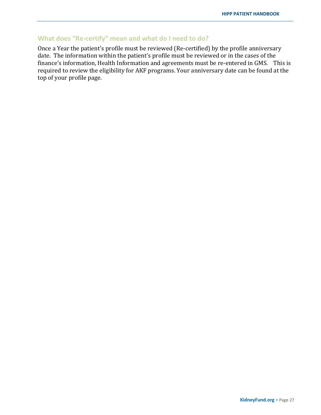### **What does "Re-certify" mean and what do I need to do?**

Once a Year the patient's profile must be reviewed (Re-certified) by the profile anniversary date. The information within the patient's profile must be reviewed or in the cases of the finance's information, Health Information and agreements must be re-entered in GMS. This is required to review the eligibility for AKF programs. Your anniversary date can be found at the top of your profile page.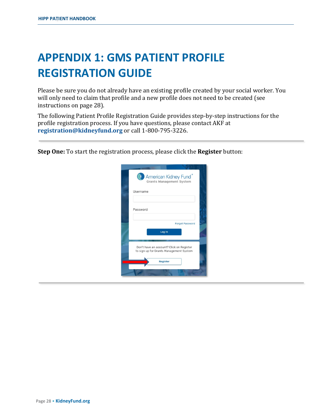## <span id="page-29-0"></span>**APPENDIX 1: GMS PATIENT PROFILE REGISTRATION GUIDE**

Please be sure you do not already have an existing profile created by your social worker. You will only need to claim that profile and a new profile does not need to be created (see instructions on page [28\)](#page-29-1).

The following Patient Profile Registration Guide provides step-by-step instructions for the profile registration process. If you have questions, please contact AKF at **[registration@kidneyfund.org](mailto:registration@kidneyfund.org)** or call 1-800-795-3226.

<span id="page-29-1"></span>**Step One:** To start the registration process, please click the **Register** button:

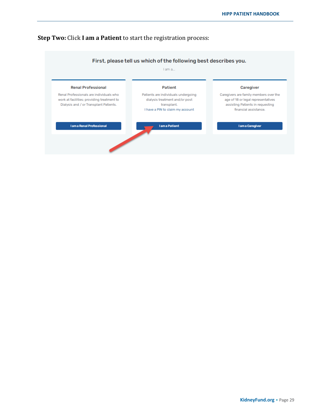#### **Step Two:** Click **I am a Patient** to start the registration process:



#### **KidneyFund.org •** Page 29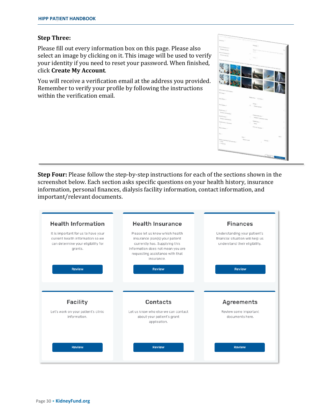#### **Step Three:**

Please fill out every information box on this page. Please also select an image by clicking on it. This image will be used to verify your identity if you need to reset your password. When finished, click **Create My Account**.

You will receive a verification email at the address you provided. Remember to verify your profile by following the instructions within the verification email.

**Step Four:** Please follow the step-by-step instructions for each of the sections shown in the screenshot below. Each section asks specific questions on your health history, insurance information, personal finances, dialysis facility information, contact information, and important/relevant documents.



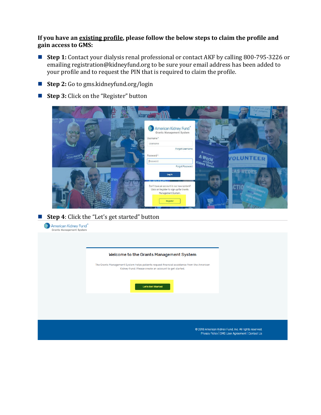#### **If you have an existing profile, please follow the below steps to claim the profile and gain access to GMS:**

- Step 1: Contact your dialysis renal professional or contact AKF by calling 800-795-3226 or emaili[ng registration@kidneyfund.org t](mailto:registration@kidneyfund.org)o be sure your email address has been added to your profile and to request the PIN that is required to claim the profile.
- **Step 2:** Go to gms.kidneyfund.org/login
- **Step 3:** Click on the "Register" button

|                                     | vizar disease                                                                                             |                               | b improve care<br>for patients.<br>$\begin{picture}(20,20) \put(0,0){\line(1,0){10}} \put(15,0){\line(1,0){10}} \put(15,0){\line(1,0){10}} \put(15,0){\line(1,0){10}} \put(15,0){\line(1,0){10}} \put(15,0){\line(1,0){10}} \put(15,0){\line(1,0){10}} \put(15,0){\line(1,0){10}} \put(15,0){\line(1,0){10}} \put(15,0){\line(1,0){10}} \put(15,0){\line(1,0){10}} \put(15,0){\line(1$ |
|-------------------------------------|-----------------------------------------------------------------------------------------------------------|-------------------------------|----------------------------------------------------------------------------------------------------------------------------------------------------------------------------------------------------------------------------------------------------------------------------------------------------------------------------------------------------------------------------------------|
| American Service<br>ind.<br>ey Fund | American Kidney Fund <sup>®</sup><br>Grants Management System<br>Username*                                |                               |                                                                                                                                                                                                                                                                                                                                                                                        |
| KIDNEYNATION                        | Username<br>Forgot Username<br>Password *                                                                 |                               |                                                                                                                                                                                                                                                                                                                                                                                        |
|                                     | Password<br>Forgot Password<br>Log In                                                                     |                               | <b>VOLUNTEER</b><br><b>AS REDES</b>                                                                                                                                                                                                                                                                                                                                                    |
| ney                                 | Don't have an account in our new system?<br>Click on Register to sign up for Grants<br>Management System. |                               |                                                                                                                                                                                                                                                                                                                                                                                        |
|                                     | Register                                                                                                  | <b>A American Kidney Fund</b> |                                                                                                                                                                                                                                                                                                                                                                                        |

■ **Step 4**: Click the "Let's get started" button

| American Kidney Fund <sup>®</sup><br>Grants Management System |                                                                                                                                                     |                                                                                                            |
|---------------------------------------------------------------|-----------------------------------------------------------------------------------------------------------------------------------------------------|------------------------------------------------------------------------------------------------------------|
|                                                               |                                                                                                                                                     |                                                                                                            |
|                                                               | Welcome to the Grants Management System                                                                                                             |                                                                                                            |
|                                                               | The Grants Management System helps patients request financial assistance from the American<br>Kidney Fund. Please create an account to get started. |                                                                                                            |
|                                                               | Let's Get Started                                                                                                                                   |                                                                                                            |
|                                                               |                                                                                                                                                     |                                                                                                            |
|                                                               |                                                                                                                                                     |                                                                                                            |
|                                                               |                                                                                                                                                     | @ 2018 American Kidney Fund, Inc. All rights reserved.<br>Privacy Policy   GMS User Agreement   Contact Us |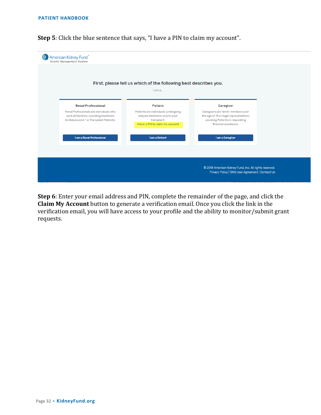**Step 5**: Click the blue sentence that says, "I have a PIN to claim my account".

| American Kidney Fund®<br>Grants Management System                                                                               |                                                                                                                          |                                                                                                                                           |                                                                  |  |  |
|---------------------------------------------------------------------------------------------------------------------------------|--------------------------------------------------------------------------------------------------------------------------|-------------------------------------------------------------------------------------------------------------------------------------------|------------------------------------------------------------------|--|--|
|                                                                                                                                 |                                                                                                                          |                                                                                                                                           |                                                                  |  |  |
|                                                                                                                                 |                                                                                                                          |                                                                                                                                           |                                                                  |  |  |
|                                                                                                                                 | I am a                                                                                                                   |                                                                                                                                           |                                                                  |  |  |
|                                                                                                                                 |                                                                                                                          |                                                                                                                                           |                                                                  |  |  |
| <b>Renal Professional</b>                                                                                                       | <b>Patient</b>                                                                                                           | Caregiver                                                                                                                                 |                                                                  |  |  |
| Renal Professionals are individuals who<br>work at facilities; providing treatment<br>to Dialysis and / or Transplant Patients. | Patients are individuals undergoing<br>dialysis treatment and/or post<br>transplant.<br>I have a PIN to claim my account | Caregivers are family members over<br>the age of 18 or legal representatives<br>assisting Patients in requesting<br>financial assistance. |                                                                  |  |  |
| I am a Renal Professional                                                                                                       | I am a Patient                                                                                                           | I am a Caregiver                                                                                                                          |                                                                  |  |  |
|                                                                                                                                 |                                                                                                                          |                                                                                                                                           |                                                                  |  |  |
|                                                                                                                                 |                                                                                                                          |                                                                                                                                           |                                                                  |  |  |
| © 2018 American Kidney Fund, Inc. All rights reserved.<br>Privacy Policy   GMS User Agreement   Contact Us                      |                                                                                                                          |                                                                                                                                           |                                                                  |  |  |
|                                                                                                                                 |                                                                                                                          |                                                                                                                                           | First, please tell us which of the following best describes you. |  |  |

**Step 6**: Enter your email address and PIN, complete the remainder of the page, and click the **Claim My Account** button to generate a verification email. Once you click the link in the verification email, you will have access to your profile and the ability to monitor/submit grant requests.